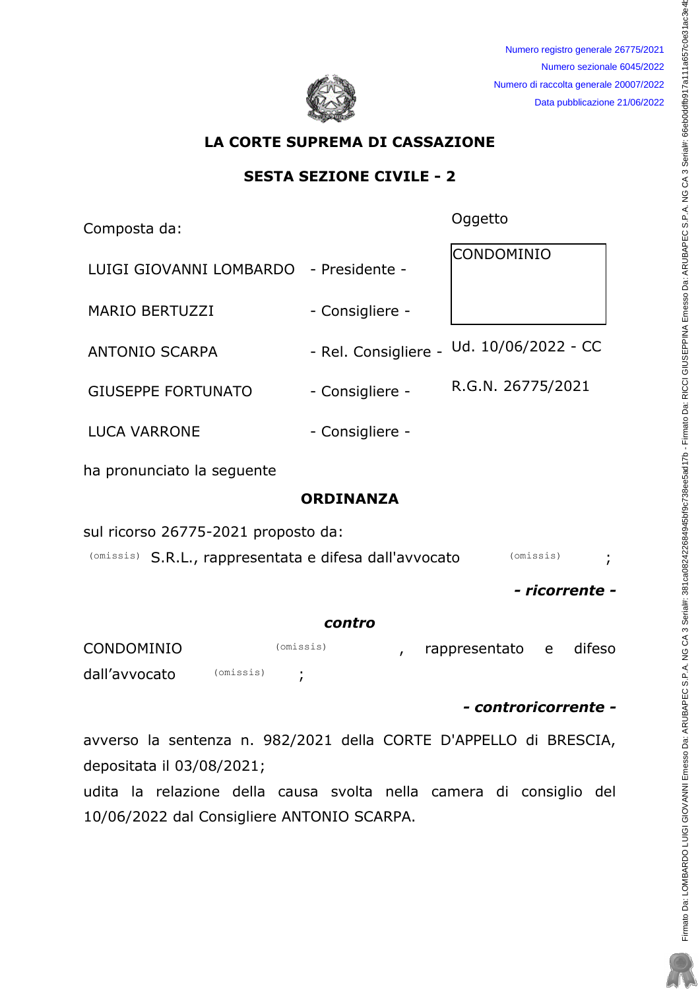

Numero registro generale 26775/2021 Numero sezionale 6045/2022 Numero di raccolta generale 20007/2022 Data pubblicazione 21/06/2022

# LA CORTE SUPREMA DI CASSAZIONE

## SESTA SEZIONE CIVILE - 2

Composta da: et al. et al. et al. et al. et al. et al. et al. et al. et al. et al. et al. et al. et al. et al. e

| LUIGI GIOVANNI LOMBARDO - Presidente - |                 | CONDOMINIO                               |
|----------------------------------------|-----------------|------------------------------------------|
| <b>MARIO BERTUZZI</b>                  | - Consigliere - |                                          |
| <b>ANTONIO SCARPA</b>                  |                 | - Rel. Consigliere - Ud. 10/06/2022 - CC |
| <b>GIUSEPPE FORTUNATO</b>              | - Consigliere - | R.G.N. 26775/2021                        |
| <b>LUCA VARRONE</b>                    | - Consigliere - |                                          |

ha pronunciato la sequente

# ORDINANZA

sul ricorso 26775-2021 proposto da:

(Omissis) S.R.L., rappresentata e difesa dall'avvocato (Omissis) ;

- ricorrente -

#### contro

| <b>CONDOMINIO</b> |           | (omissis) |  | rappresentato e | difeso |
|-------------------|-----------|-----------|--|-----------------|--------|
| dall'avvocato     | (omissis) |           |  |                 |        |

- controricorrente -

avverso la sentenza n. 982/2021 della CORTE D'APPELLO di BRESCIA, depositata il 03/08/2021;

udita la relazione della causa svolta nella camera di consiglio del 10/06/2022 dal Consigliere ANTONIO SCARPA.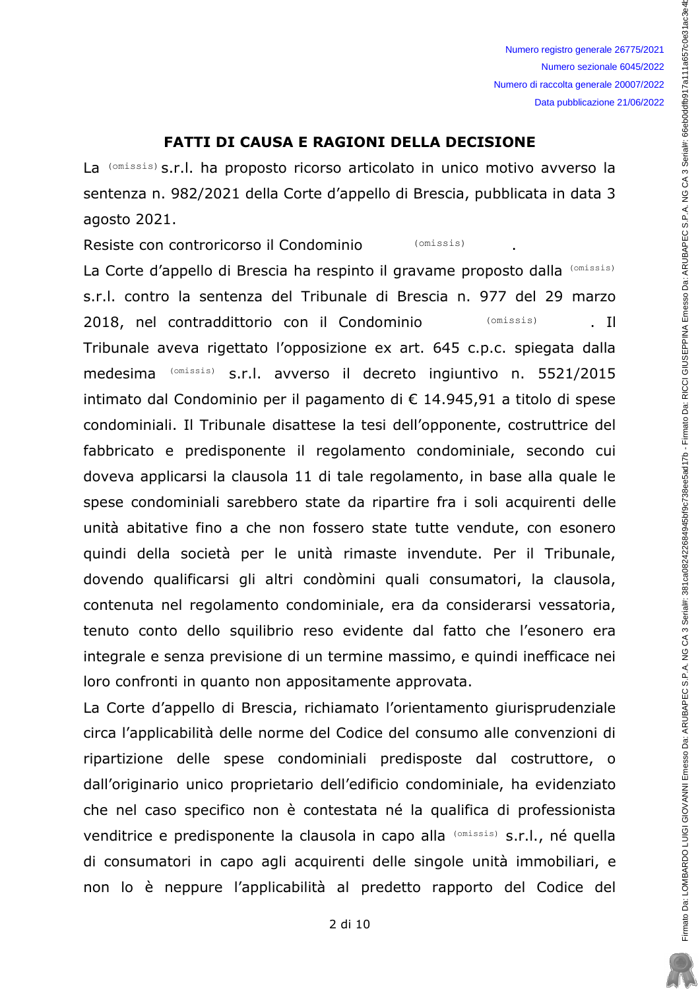Numero registro generale 26775/2021 Numero sezionale 6045/2022 Numero di raccolta generale 20007/2022 Data pubblicazione 21/06/2022

## **FATTI DI CAUSA E RAGIONI DELLA DECISIONE**

La (omissis) s.r.l. ha proposto ricorso articolato in unico motivo avverso la sentenza n. 982/2021 della Corte d'appello di Brescia, pubblicata in data 3 agosto 2021.

Resiste con controricorso il Condominio (omissis)

La Corte d'appello di Brescia ha respinto il gravame proposto dalla (Omissis) s.r.l. contro la sentenza del Tribunale di Brescia n. 977 del 29 marzo 2018, nel contraddittorio con il Condominio (omissis) Tribunale aveva rigettato l'opposizione ex art. 645 c.p.c. spiegata dalla medesima (omissis) s.r.l. avverso il decreto ingiuntivo n. 5521/2015 intimato dal Condominio per il pagamento di € 14.945,91 a titolo di spese condominiali. Il Tribunale disattese la tesi dell'opponente, costruttrice del fabbricato e predisponente il regolamento condominiale, secondo cui doveva applicarsi la clausola 11 di tale regolamento, in base alla quale le spese condominiali sarebbero state da ripartire fra i soli acquirenti delle unità abitative fino a che non fossero state tutte vendute, con esonero quindi della società per le unità rimaste invendute. Per il Tribunale, dovendo qualificarsi gli altri condòmini quali consumatori, la clausola, contenuta nel regolamento condominiale, era da considerarsi vessatoria, tenuto conto dello squilibrio reso evidente dal fatto che l'esonero era integrale e senza previsione di un termine massimo, e quindi inefficace nei loro confronti in quanto non appositamente approvata.

La Corte d'appello di Brescia, richiamato l'orientamento giurisprudenziale circa l'applicabilità delle norme del Codice del consumo alle convenzioni di ripartizione delle spese condominiali predisposte dal costruttore, o dall'originario unico proprietario dell'edificio condominiale, ha evidenziato che nel caso specifico non è contestata né la qualifica di professionista venditrice e predisponente la clausola in capo alla (omissis) s.r.l., né quella di consumatori in capo agli acquirenti delle singole unità immobiliari, e non lo è neppure l'applicabilità al predetto rapporto del Codice del Firmato Da: LOMBARDO LUIGI GIOVANNI Emesso Da: ARUBAREC S.P.A. NG CA 3 Serial#: 381 ca082422684945bf9c7288e5ad17b - Firmato Da: RICCI GIUSEPPINA Emesso Da: ARUBAPEC S.P.A. NG CA 3 Serial#: 66eb0ddfb917a111a657c0e31ac3e4b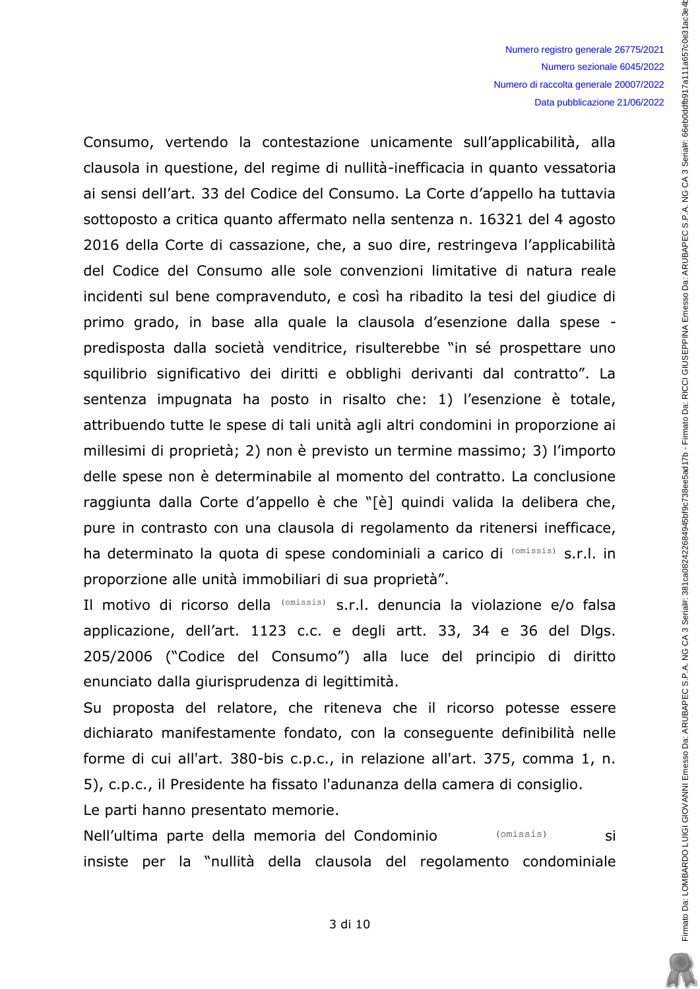Firmato Da: LOMBARDO LUIGI GIOVANNI Emesso Da: ARUBAREC S.P.A. NG CA 3 Serial#: 381 ca082422684945bf9c7288e5ad17b - Firmato Da: RICCI GIUSEPPINA Emesso Da: ARUBAPEC S.P.A. NG CA 3 Serial#: 66eb0ddfb917a111a657c0e31ac3e4b

Consumo, vertendo la contestazione unicamente sull'applicabilità, alla clausola in questione, del regime di nullità-inefficacia in quanto vessatoria ai sensi dell'art. 33 del Codice del Consumo. La Corte d'appello ha tuttavia sottoposto a critica quanto affermato nella sentenza n. 16321 del 4 agosto 2016 della Corte di cassazione, che, a suo dire, restringeva l'applicabilità del Codice del Consumo alle sole convenzioni limitative di natura reale incidenti sul bene compravenduto, e così ha ribadito la tesi del giudice di primo grado, in base alla quale la clausola d'esenzione dalla spese predisposta dalla società venditrice, risulterebbe "in sé prospettare uno squilibrio significativo dei diritti e obblighi derivanti dal contratto". La sentenza impugnata ha posto in risalto che: 1) l'esenzione è totale, attribuendo tutte le spese di tali unità agli altri condomini in proporzione ai millesimi di proprietà; 2) non è previsto un termine massimo; 3) l'importo delle spese non è determinabile al momento del contratto. La conclusione raggiunta dalla Corte d'appello è che "[è] quindi valida la delibera che, pure in contrasto con una clausola di regolamento da ritenersi inefficace, ha determinato la quota di spese condominiali a carico di (omissis) s.r.l. in proporzione alle unità immobiliari di sua proprietà".

Il motivo di ricorso della (omissis) s.r.l. denuncia la violazione e/o falsa applicazione, dell'art. 1123 c.c. e degli artt. 33, 34 e 36 del Dlgs. 205/2006 ("Codice del Consumo") alla luce del principio di diritto enunciato dalla giurisprudenza di legittimità.

Su proposta del relatore, che riteneva che il ricorso potesse essere dichiarato manifestamente fondato, con la consequente definibilità nelle forme di cui all'art. 380-bis c.p.c., in relazione all'art. 375, comma 1, n. 5), c.p.c., il Presidente ha fissato l'adunanza della camera di consiglio.

Le parti hanno presentato memorie.

Nell'ultima parte della memoria del Condominio (omissis) si insiste per la "nullità della clausola del regolamento condominiale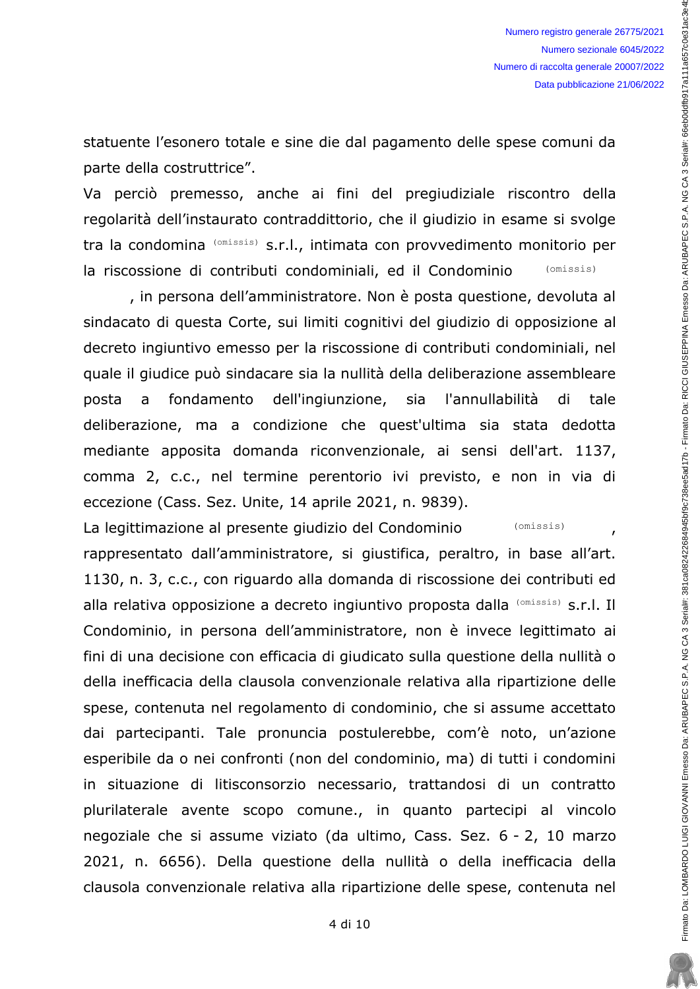statuente l'esonero totale e sine die dal pagamento delle spese comuni da parte della costruttrice".

Va perciò premesso, anche ai fini del pregiudiziale riscontro della regolarità dell'instaurato contraddittorio, che il giudizio in esame si svolge tra la condomina (omissis) s.r.l., intimata con provvedimento monitorio per la riscossione di contributi condominiali, ed il Condominio (omissis)

, in persona dell'amministratore. Non è posta questione, devoluta al sindacato di questa Corte, sui limiti cognitivi del giudizio di opposizione al decreto ingiuntivo emesso per la riscossione di contributi condominiali, nel quale il giudice può sindacare sia la nullità della deliberazione assembleare fondamento dell'ingiunzione, sia l'annullabilità di posta  $\overline{a}$ tale deliberazione, ma a condizione che quest'ultima sia stata dedotta mediante apposita domanda riconvenzionale, ai sensi dell'art. 1137, comma 2, c.c., nel termine perentorio ivi previsto, e non in via di eccezione (Cass. Sez. Unite, 14 aprile 2021, n. 9839).

La legittimazione al presente giudizio del Condominio (omissis)  $\overline{ }$ rappresentato dall'amministratore, si giustifica, peraltro, in base all'art. 1130, n. 3, c.c., con riguardo alla domanda di riscossione dei contributi ed alla relativa opposizione a decreto ingiuntivo proposta dalla (Omissis) s.r.l. Il Condominio, in persona dell'amministratore, non è invece legittimato ai fini di una decisione con efficacia di giudicato sulla questione della nullità o della inefficacia della clausola convenzionale relativa alla ripartizione delle spese, contenuta nel regolamento di condominio, che si assume accettato dai partecipanti. Tale pronuncia postulerebbe, com'è noto, un'azione esperibile da o nei confronti (non del condominio, ma) di tutti i condomini in situazione di litisconsorzio necessario, trattandosi di un contratto plurilaterale avente scopo comune., in quanto partecipi al vincolo negoziale che si assume viziato (da ultimo, Cass. Sez. 6 - 2, 10 marzo 2021, n. 6656). Della questione della nullità o della inefficacia della clausola convenzionale relativa alla ripartizione delle spese, contenuta nel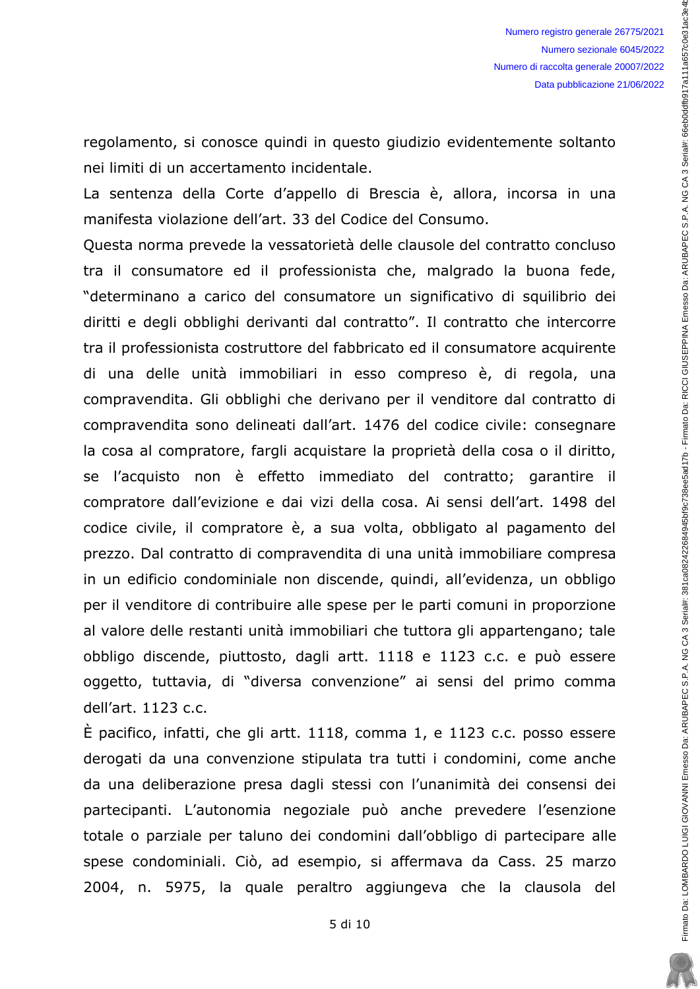regolamento, si conosce quindi in questo giudizio evidentemente soltanto nei limiti di un accertamento incidentale.

La sentenza della Corte d'appello di Brescia è, allora, incorsa in una manifesta violazione dell'art. 33 del Codice del Consumo.

Questa norma prevede la vessatorietà delle clausole del contratto concluso tra il consumatore ed il professionista che, malgrado la buona fede, "determinano a carico del consumatore un significativo di squilibrio dei diritti e degli obblighi derivanti dal contratto". Il contratto che intercorre tra il professionista costruttore del fabbricato ed il consumatore acquirente di una delle unità immobiliari in esso compreso è, di regola, una compravendita. Gli obblighi che derivano per il venditore dal contratto di compravendita sono delineati dall'art. 1476 del codice civile: consegnare la cosa al compratore, fargli acquistare la proprietà della cosa o il diritto, se l'acquisto non è effetto immediato del contratto; garantire il compratore dall'evizione e dai vizi della cosa. Ai sensi dell'art. 1498 del codice civile, il compratore è, a sua volta, obbligato al pagamento del prezzo. Dal contratto di compravendita di una unità immobiliare compresa in un edificio condominiale non discende, quindi, all'evidenza, un obbligo per il venditore di contribuire alle spese per le parti comuni in proporzione al valore delle restanti unità immobiliari che tuttora gli appartengano; tale obbligo discende, piuttosto, dagli artt. 1118 e 1123 c.c. e può essere oggetto, tuttavia, di "diversa convenzione" ai sensi del primo comma dell'art. 1123 c.c.

 $\dot{E}$  pacifico, infatti, che gli artt. 1118, comma 1, e 1123 c.c. posso essere derogati da una convenzione stipulata tra tutti i condomini, come anche da una deliberazione presa dagli stessi con l'unanimità dei consensi dei partecipanti. L'autonomia negoziale può anche prevedere l'esenzione totale o parziale per taluno dei condomini dall'obbligo di partecipare alle spese condominiali. Ciò, ad esempio, si affermava da Cass. 25 marzo 2004, n. 5975, la quale peraltro aggiungeva che la clausola del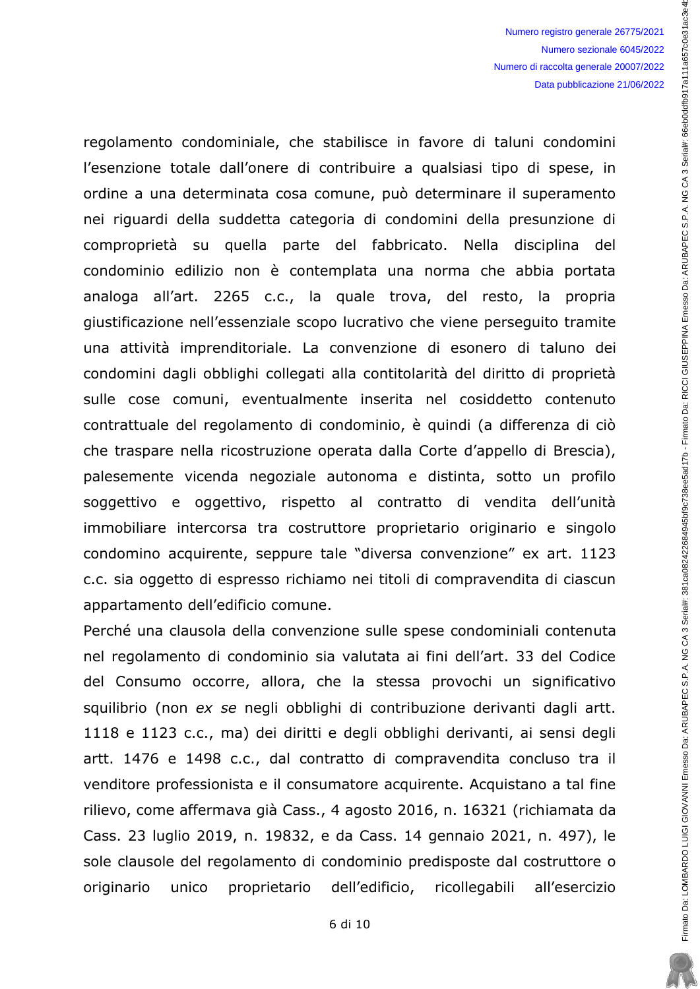regolamento condominiale, che stabilisce in favore di taluni condomini l'esenzione totale dall'onere di contribuire a qualsiasi tipo di spese, in ordine a una determinata cosa comune, può determinare il superamento nei riguardi della suddetta categoria di condomini della presunzione di comproprietà su quella parte del fabbricato. Nella disciplina del condominio edilizio non è contemplata una norma che abbia portata analoga all'art. 2265 c.c., la quale trova, del resto, la propria giustificazione nell'essenziale scopo lucrativo che viene perseguito tramite una attività imprenditoriale. La convenzione di esonero di taluno dei condomini dagli obblighi collegati alla contitolarità del diritto di proprietà sulle cose comuni, eventualmente inserita nel cosiddetto contenuto contrattuale del regolamento di condominio, è quindi (a differenza di ciò che traspare nella ricostruzione operata dalla Corte d'appello di Brescia), palesemente vicenda negoziale autonoma e distinta, sotto un profilo soggettivo e oggettivo, rispetto al contratto di vendita dell'unità immobiliare intercorsa tra costruttore proprietario originario e singolo condomino acquirente, seppure tale "diversa convenzione" ex art. 1123 c.c. sia oggetto di espresso richiamo nei titoli di compravendita di ciascun appartamento dell'edificio comune.

Perché una clausola della convenzione sulle spese condominiali contenuta nel regolamento di condominio sia valutata ai fini dell'art. 33 del Codice del Consumo occorre, allora, che la stessa provochi un significativo squilibrio (non ex se negli obblighi di contribuzione derivanti dagli artt. 1118 e 1123 c.c., ma) dei diritti e degli obblighi derivanti, ai sensi degli artt. 1476 e 1498 c.c., dal contratto di compravendita concluso tra il venditore professionista e il consumatore acquirente. Acquistano a tal fine rilievo, come affermava già Cass., 4 agosto 2016, n. 16321 (richiamata da Cass. 23 luglio 2019, n. 19832, e da Cass. 14 gennaio 2021, n. 497), le sole clausole del regolamento di condominio predisposte dal costruttore o proprietario dell'edificio, ricollegabili originario unico all'esercizio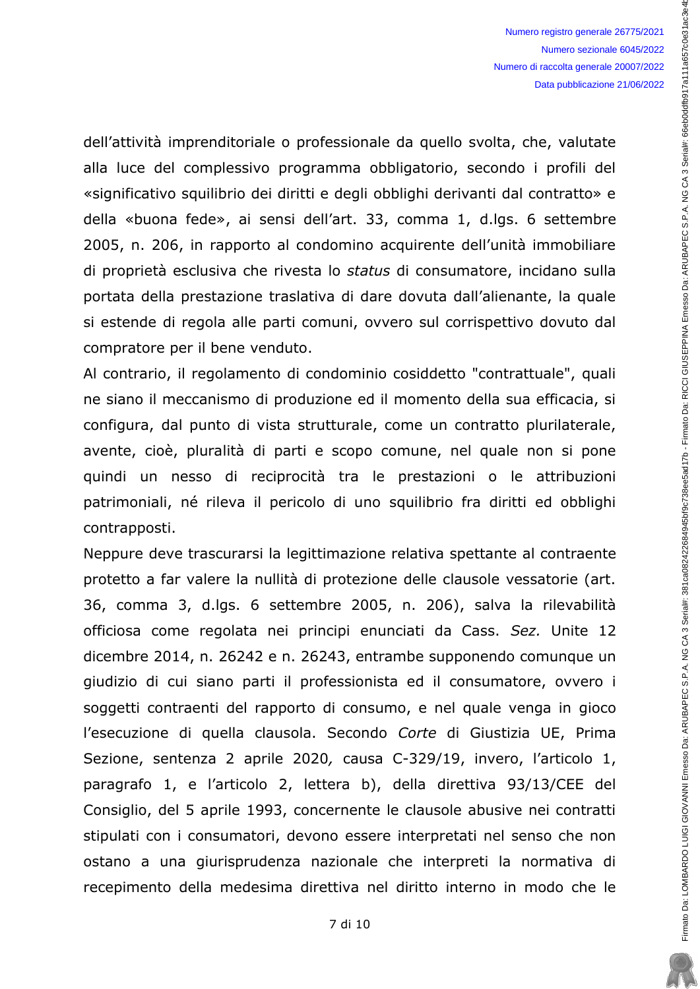Firmato Da: LOMBARDO LUIGI GIOVANNI Emesso Da: ARUBAREC S.P.A. NG CA 3 Serial#: 381 ca082422684945bf9c7288e5ad17b - Firmato Da: RICCI GIUSEPPINA Emesso Da: ARUBAPEC S.P.A. NG CA 3 Serial#: 66eb0ddfb917a111a657c0e31ac3e4b

dell'attività imprenditoriale o professionale da quello svolta, che, valutate alla luce del complessivo programma obbligatorio, secondo i profili del «significativo squilibrio dei diritti e degli obblighi derivanti dal contratto» e della «buona fede», ai sensi dell'art. 33, comma 1, d.lgs. 6 settembre 2005, n. 206, in rapporto al condomino acquirente dell'unità immobiliare di proprietà esclusiva che rivesta lo status di consumatore, incidano sulla portata della prestazione traslativa di dare dovuta dall'alienante, la quale si estende di regola alle parti comuni, ovvero sul corrispettivo dovuto dal compratore per il bene venduto.

Al contrario, il regolamento di condominio cosiddetto "contrattuale", quali ne siano il meccanismo di produzione ed il momento della sua efficacia, si configura, dal punto di vista strutturale, come un contratto plurilaterale, avente, cioè, pluralità di parti e scopo comune, nel quale non si pone quindi un nesso di reciprocità tra le prestazioni o le attribuzioni patrimoniali, né rileva il pericolo di uno squilibrio fra diritti ed obblighi contrapposti.

Neppure deve trascurarsi la legittimazione relativa spettante al contraente protetto a far valere la nullità di protezione delle clausole vessatorie (art. 36, comma 3, d.lgs. 6 settembre 2005, n. 206), salva la rilevabilità officiosa come regolata nei principi enunciati da Cass. Sez. Unite 12 dicembre 2014, n. 26242 e n. 26243, entrambe supponendo comunque un giudizio di cui siano parti il professionista ed il consumatore, ovvero i soggetti contraenti del rapporto di consumo, e nel quale venga in gioco l'esecuzione di quella clausola. Secondo Corte di Giustizia UE, Prima Sezione, sentenza 2 aprile 2020, causa C-329/19, invero, l'articolo 1, paragrafo 1, e l'articolo 2, lettera b), della direttiva 93/13/CEE del Consiglio, del 5 aprile 1993, concernente le clausole abusive nei contratti stipulati con i consumatori, devono essere interpretati nel senso che non ostano a una giurisprudenza nazionale che interpreti la normativa di recepimento della medesima direttiva nel diritto interno in modo che le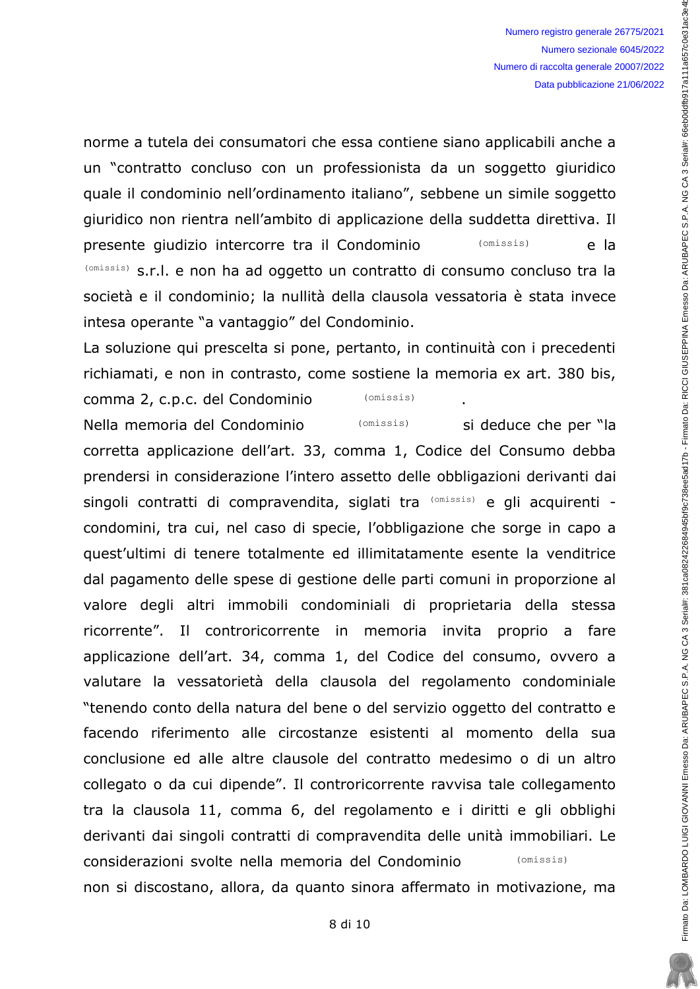si deduce che per "la

Firmato Da: LOMBARDO LUIGI GIOVANNI Emesso Da: ARUBAREC S.P.A. NG CA 3 Serial#: 381 ca082422684945bf9c7288e5ad17b - Firmato Da: RICCI GIUSEPPINA Emesso Da: ARUBAPEC S.P.A. NG CA 3 Serial#: 66eb0ddfb917a111a657c0e31ac3e4b

norme a tutela dei consumatori che essa contiene siano applicabili anche a un "contratto concluso con un professionista da un soggetto giuridico quale il condominio nell'ordinamento italiano", sebbene un simile soggetto giuridico non rientra nell'ambito di applicazione della suddetta direttiva. Il presente giudizio intercorre tra il Condominio  $(omissis)$ e la (omissis) s.r.l. e non ha ad oggetto un contratto di consumo concluso tra la società e il condominio; la nullità della clausola vessatoria è stata invece intesa operante "a vantaggio" del Condominio.

La soluzione qui prescelta si pone, pertanto, in continuità con i precedenti richiamati, e non in contrasto, come sostiene la memoria ex art. 380 bis,

comma 2, c.p.c. del Condominio  $(omissis)$ Nella memoria del Condominio  $(omissis)$ 

corretta applicazione dell'art. 33, comma 1, Codice del Consumo debba prendersi in considerazione l'intero assetto delle obbligazioni derivanti dai singoli contratti di compravendita, siglati tra (omissis) e gli acquirenti condomini, tra cui, nel caso di specie, l'obbligazione che sorge in capo a quest'ultimi di tenere totalmente ed illimitatamente esente la venditrice dal pagamento delle spese di gestione delle parti comuni in proporzione al valore degli altri immobili condominiali di proprietaria della stessa ricorrente". Il controricorrente in memoria invita proprio a fare applicazione dell'art. 34, comma 1, del Codice del consumo, ovvero a valutare la vessatorietà della clausola del regolamento condominiale "tenendo conto della natura del bene o del servizio oggetto del contratto e facendo riferimento alle circostanze esistenti al momento della sua conclusione ed alle altre clausole del contratto medesimo o di un altro collegato o da cui dipende". Il controricorrente ravvisa tale collegamento tra la clausola 11, comma 6, del regolamento e i diritti e gli obblighi derivanti dai singoli contratti di compravendita delle unità immobiliari. Le considerazioni svolte nella memoria del Condominio  $(omissis)$ non si discostano, allora, da quanto sinora affermato in motivazione, ma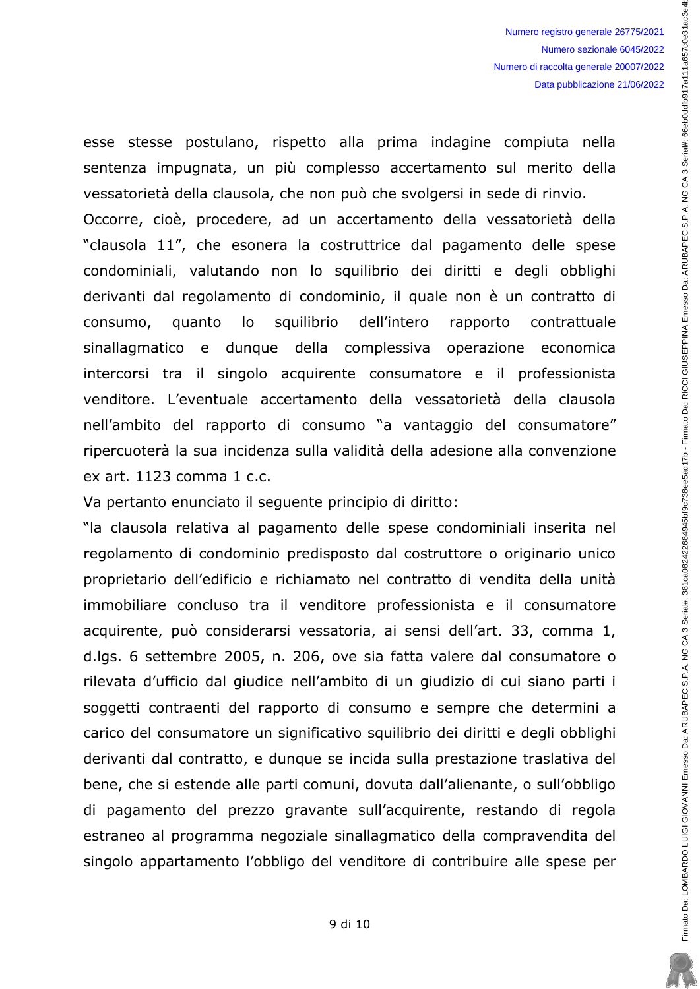esse stesse postulano, rispetto alla prima indagine compiuta nella sentenza impugnata, un più complesso accertamento sul merito della vessatorietà della clausola, che non può che svolgersi in sede di rinvio. Occorre, cioè, procedere, ad un accertamento della vessatorietà della "clausola 11", che esonera la costruttrice dal pagamento delle spese condominiali, valutando non lo squilibrio dei diritti e degli obblighi derivanti dal regolamento di condominio, il quale non è un contratto di squilibrio consumo, quanto lo dell'intero rapporto contrattuale sinallagmatico e dunque della complessiva operazione economica intercorsi tra il singolo acquirente consumatore e il professionista venditore. L'eventuale accertamento della vessatorietà della clausola nell'ambito del rapporto di consumo "a vantaggio del consumatore" ripercuoterà la sua incidenza sulla validità della adesione alla convenzione ex art. 1123 comma 1 c.c.

Va pertanto enunciato il seguente principio di diritto:

"la clausola relativa al pagamento delle spese condominiali inserita nel regolamento di condominio predisposto dal costruttore o originario unico proprietario dell'edificio e richiamato nel contratto di vendita della unità immobiliare concluso tra il venditore professionista e il consumatore acquirente, può considerarsi vessatoria, ai sensi dell'art. 33, comma 1, d.lgs. 6 settembre 2005, n. 206, ove sia fatta valere dal consumatore o rilevata d'ufficio dal giudice nell'ambito di un giudizio di cui siano parti i soggetti contraenti del rapporto di consumo e sempre che determini a carico del consumatore un significativo squilibrio dei diritti e degli obblighi derivanti dal contratto, e dunque se incida sulla prestazione traslativa del bene, che si estende alle parti comuni, dovuta dall'alienante, o sull'obbligo di pagamento del prezzo gravante sull'acquirente, restando di regola estraneo al programma negoziale sinallagmatico della compravendita del singolo appartamento l'obbligo del venditore di contribuire alle spese per